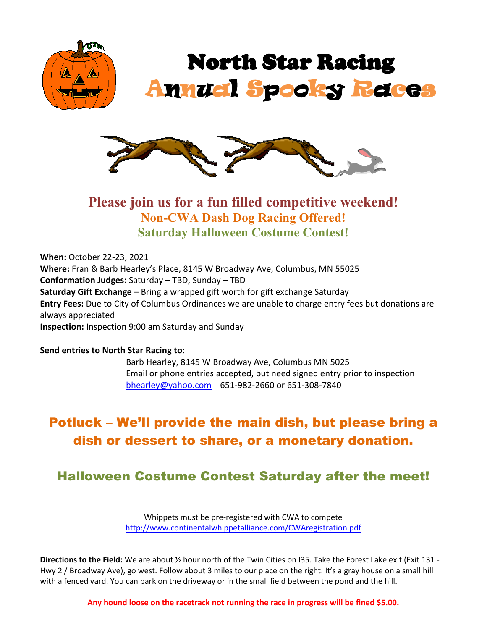



## **Please join us for a fun filled competitive weekend! Non-CWA Dash Dog Racing Offered! Saturday Halloween Costume Contest!**

**When:** October 22-23, 2021 **Where:** Fran & Barb Hearley's Place, 8145 W Broadway Ave, Columbus, MN 55025 **Conformation Judges:** Saturday – TBD, Sunday – TBD **Saturday Gift Exchange** – Bring a wrapped gift worth for gift exchange Saturday **Entry Fees:** Due to City of Columbus Ordinances we are unable to charge entry fees but donations are always appreciated **Inspection:** Inspection 9:00 am Saturday and Sunday

#### **Send entries to North Star Racing to:**

Barb Hearley, 8145 W Broadway Ave, Columbus MN 5025 Email or phone entries accepted, but need signed entry prior to inspection [bhearley@yahoo.com](mailto:bhearley@yahoo.com) 651-982-2660 or 651-308-7840

# Potluck – We'll provide the main dish, but please bring a dish or dessert to share, or a monetary donation.

## Halloween Costume Contest Saturday after the meet!

Whippets must be pre-registered with CWA to compete <http://www.continentalwhippetalliance.com/CWAregistration.pdf>

**Directions to the Field:** We are about ½ hour north of the Twin Cities on I35. Take the Forest Lake exit (Exit 131 - Hwy 2 / Broadway Ave), go west. Follow about 3 miles to our place on the right. It's a gray house on a small hill with a fenced yard. You can park on the driveway or in the small field between the pond and the hill.

**Any hound loose on the racetrack not running the race in progress will be fined \$5.00.**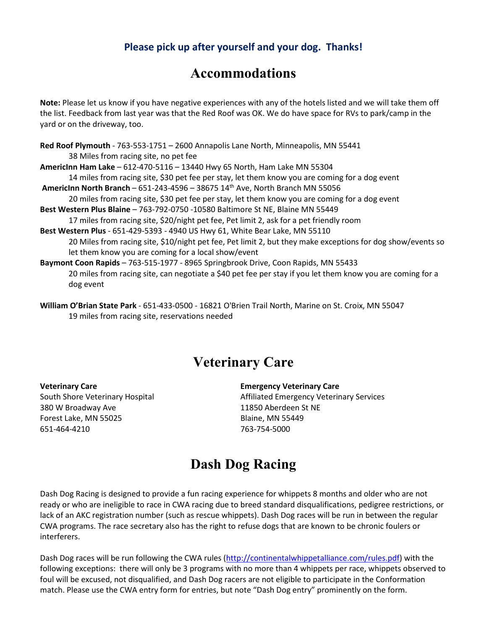### **Please pick up after yourself and your dog. Thanks!**

## **Accommodations**

**Note:** Please let us know if you have negative experiences with any of the hotels listed and we will take them off the list. Feedback from last year was that the Red Roof was OK. We do have space for RVs to park/camp in the yard or on the driveway, too.

**Red Roof Plymouth** - 763-553-1751 – 2600 Annapolis Lane North, Minneapolis, MN 55441 38 Miles from racing site, no pet fee **AmericInn Ham Lake** – 612-470-5116 – 13440 Hwy 65 North, Ham Lake MN 55304 14 miles from racing site, \$30 pet fee per stay, let them know you are coming for a dog event **AmericInn North Branch** – 651-243-4596 – 38675 14th Ave, North Branch MN 55056 20 miles from racing site, \$30 pet fee per stay, let them know you are coming for a dog event **Best Western Plus Blaine** – 763-792-0750 -10580 Baltimore St NE, Blaine MN 55449 17 miles from racing site, \$20/night pet fee, Pet limit 2, ask for a pet friendly room **Best Western Plus** - 651-429-5393 - 4940 US Hwy 61, White Bear Lake, MN 55110 20 Miles from racing site, \$10/night pet fee, Pet limit 2, but they make exceptions for dog show/events so let them know you are coming for a local show/event **Baymont Coon Rapids** – 763-515-1977 - 8965 Springbrook Drive, Coon Rapids, MN 55433 20 miles from racing site, can negotiate a \$40 pet fee per stay if you let them know you are coming for a dog event

## **Veterinary Care**

380 W Broadway Ave 11850 Aberdeen St NE Forest Lake, MN 55025 Blaine, MN 55449 651-464-4210 763-754-5000

**Veterinary Care Emergency Veterinary Care**

South Shore Veterinary Hospital Affiliated Emergency Veterinary Services

## **Dash Dog Racing**

Dash Dog Racing is designed to provide a fun racing experience for whippets 8 months and older who are not ready or who are ineligible to race in CWA racing due to breed standard disqualifications, pedigree restrictions, or lack of an AKC registration number (such as rescue whippets). Dash Dog races will be run in between the regular CWA programs. The race secretary also has the right to refuse dogs that are known to be chronic foulers or interferers.

Dash Dog races will be run following the CWA rules [\(http://continentalwhippetalliance.com/rules.pdf\)](http://continentalwhippetalliance.com/rules.pdf) with the following exceptions: there will only be 3 programs with no more than 4 whippets per race, whippets observed to foul will be excused, not disqualified, and Dash Dog racers are not eligible to participate in the Conformation match. Please use the CWA entry form for entries, but note "Dash Dog entry" prominently on the form.

**William O'Brian State Park** - 651-433-0500 - 16821 O'Brien Trail North, Marine on St. Croix, MN 55047 19 miles from racing site, reservations needed